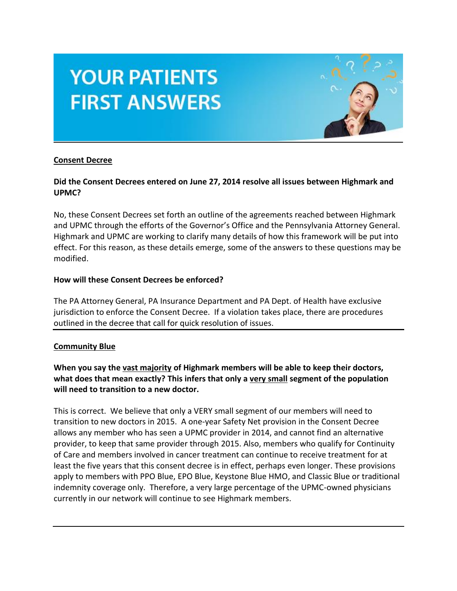# **YOUR PATIENTS FIRST ANSWERS**



## **Consent Decree**

## **Did the Consent Decrees entered on June 27, 2014 resolve all issues between Highmark and UPMC?**

No, these Consent Decrees set forth an outline of the agreements reached between Highmark and UPMC through the efforts of the Governor's Office and the Pennsylvania Attorney General. Highmark and UPMC are working to clarify many details of how this framework will be put into effect. For this reason, as these details emerge, some of the answers to these questions may be modified.

#### **How will these Consent Decrees be enforced?**

The PA Attorney General, PA Insurance Department and PA Dept. of Health have exclusive jurisdiction to enforce the Consent Decree. If a violation takes place, there are procedures outlined in the decree that call for quick resolution of issues.

## **Community Blue**

# **When you say the vast majority of Highmark members will be able to keep their doctors, what does that mean exactly? This infers that only a very small segment of the population will need to transition to a new doctor.**

This is correct. We believe that only a VERY small segment of our members will need to transition to new doctors in 2015. A one-year Safety Net provision in the Consent Decree allows any member who has seen a UPMC provider in 2014, and cannot find an alternative provider, to keep that same provider through 2015. Also, members who qualify for Continuity of Care and members involved in cancer treatment can continue to receive treatment for at least the five years that this consent decree is in effect, perhaps even longer. These provisions apply to members with PPO Blue, EPO Blue, Keystone Blue HMO, and Classic Blue or traditional indemnity coverage only. Therefore, a very large percentage of the UPMC-owned physicians currently in our network will continue to see Highmark members.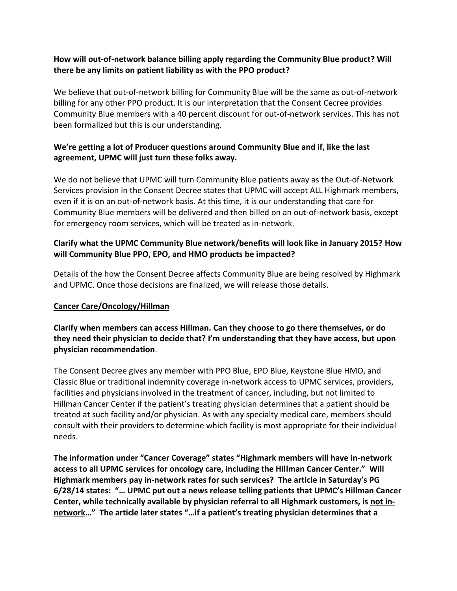# **How will out-of-network balance billing apply regarding the Community Blue product? Will there be any limits on patient liability as with the PPO product?**

We believe that out-of-network billing for Community Blue will be the same as out-of-network billing for any other PPO product. It is our interpretation that the Consent Cecree provides Community Blue members with a 40 percent discount for out-of-network services. This has not been formalized but this is our understanding.

# **We're getting a lot of Producer questions around Community Blue and if, like the last agreement, UPMC will just turn these folks away.**

We do not believe that UPMC will turn Community Blue patients away as the Out-of-Network Services provision in the Consent Decree states that UPMC will accept ALL Highmark members, even if it is on an out-of-network basis. At this time, it is our understanding that care for Community Blue members will be delivered and then billed on an out-of-network basis, except for emergency room services, which will be treated as in-network.

# **Clarify what the UPMC Community Blue network/benefits will look like in January 2015? How will Community Blue PPO, EPO, and HMO products be impacted?**

Details of the how the Consent Decree affects Community Blue are being resolved by Highmark and UPMC. Once those decisions are finalized, we will release those details.

## **Cancer Care/Oncology/Hillman**

# **Clarify when members can access Hillman. Can they choose to go there themselves, or do they need their physician to decide that? I'm understanding that they have access, but upon physician recommendation**.

The Consent Decree gives any member with PPO Blue, EPO Blue, Keystone Blue HMO, and Classic Blue or traditional indemnity coverage in-network access to UPMC services, providers, facilities and physicians involved in the treatment of cancer, including, but not limited to Hillman Cancer Center if the patient's treating physician determines that a patient should be treated at such facility and/or physician. As with any specialty medical care, members should consult with their providers to determine which facility is most appropriate for their individual needs.

**The information under "Cancer Coverage" states "Highmark members will have in-network access to all UPMC services for oncology care, including the Hillman Cancer Center." Will Highmark members pay in-network rates for such services? The article in Saturday's PG 6/28/14 states: "… UPMC put out a news release telling patients that UPMC's Hillman Cancer Center, while technically available by physician referral to all Highmark customers, is not innetwork…" The article later states "…if a patient's treating physician determines that a**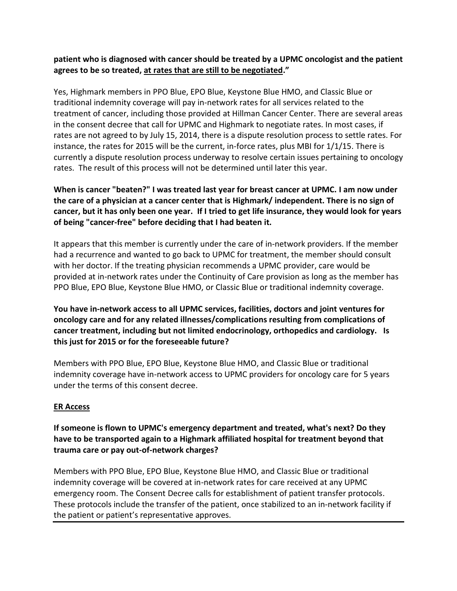## **patient who is diagnosed with cancer should be treated by a UPMC oncologist and the patient agrees to be so treated, at rates that are still to be negotiated."**

Yes, Highmark members in PPO Blue, EPO Blue, Keystone Blue HMO, and Classic Blue or traditional indemnity coverage will pay in-network rates for all services related to the treatment of cancer, including those provided at Hillman Cancer Center. There are several areas in the consent decree that call for UPMC and Highmark to negotiate rates. In most cases, if rates are not agreed to by July 15, 2014, there is a dispute resolution process to settle rates. For instance, the rates for 2015 will be the current, in-force rates, plus MBI for 1/1/15. There is currently a dispute resolution process underway to resolve certain issues pertaining to oncology rates. The result of this process will not be determined until later this year.

# **When is cancer "beaten?" I was treated last year for breast cancer at UPMC. I am now under the care of a physician at a cancer center that is Highmark/ independent. There is no sign of cancer, but it has only been one year. If I tried to get life insurance, they would look for years of being "cancer-free" before deciding that I had beaten it.**

It appears that this member is currently under the care of in-network providers. If the member had a recurrence and wanted to go back to UPMC for treatment, the member should consult with her doctor. If the treating physician recommends a UPMC provider, care would be provided at in-network rates under the Continuity of Care provision as long as the member has PPO Blue, EPO Blue, Keystone Blue HMO, or Classic Blue or traditional indemnity coverage.

**You have in-network access to all UPMC services, facilities, doctors and joint ventures for oncology care and for any related illnesses/complications resulting from complications of cancer treatment, including but not limited endocrinology, orthopedics and cardiology. Is this just for 2015 or for the foreseeable future?**

Members with PPO Blue, EPO Blue, Keystone Blue HMO, and Classic Blue or traditional indemnity coverage have in-network access to UPMC providers for oncology care for 5 years under the terms of this consent decree.

## **ER Access**

# **If someone is flown to UPMC's emergency department and treated, what's next? Do they have to be transported again to a Highmark affiliated hospital for treatment beyond that trauma care or pay out-of-network charges?**

Members with PPO Blue, EPO Blue, Keystone Blue HMO, and Classic Blue or traditional indemnity coverage will be covered at in-network rates for care received at any UPMC emergency room. The Consent Decree calls for establishment of patient transfer protocols. These protocols include the transfer of the patient, once stabilized to an in-network facility if the patient or patient's representative approves.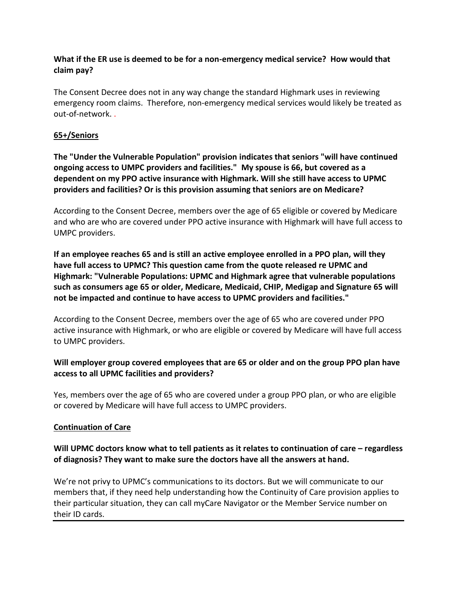# **What if the ER use is deemed to be for a non-emergency medical service? How would that claim pay?**

The Consent Decree does not in any way change the standard Highmark uses in reviewing emergency room claims. Therefore, non-emergency medical services would likely be treated as out-of-network. .

# **65+/Seniors**

**The "Under the Vulnerable Population" provision indicates that seniors "will have continued ongoing access to UMPC providers and facilities." My spouse is 66, but covered as a dependent on my PPO active insurance with Highmark. Will she still have access to UPMC providers and facilities? Or is this provision assuming that seniors are on Medicare?**

According to the Consent Decree, members over the age of 65 eligible or covered by Medicare and who are who are covered under PPO active insurance with Highmark will have full access to UMPC providers.

**If an employee reaches 65 and is still an active employee enrolled in a PPO plan, will they have full access to UPMC? This question came from the quote released re UPMC and Highmark: "Vulnerable Populations: UPMC and Highmark agree that vulnerable populations such as consumers age 65 or older, Medicare, Medicaid, CHIP, Medigap and Signature 65 will not be impacted and continue to have access to UPMC providers and facilities."**

According to the Consent Decree, members over the age of 65 who are covered under PPO active insurance with Highmark, or who are eligible or covered by Medicare will have full access to UMPC providers.

# **Will employer group covered employees that are 65 or older and on the group PPO plan have access to all UPMC facilities and providers?**

Yes, members over the age of 65 who are covered under a group PPO plan, or who are eligible or covered by Medicare will have full access to UMPC providers.

## **Continuation of Care**

# **Will UPMC doctors know what to tell patients as it relates to continuation of care – regardless of diagnosis? They want to make sure the doctors have all the answers at hand.**

We're not privy to UPMC's communications to its doctors. But we will communicate to our members that, if they need help understanding how the Continuity of Care provision applies to their particular situation, they can call myCare Navigator or the Member Service number on their ID cards.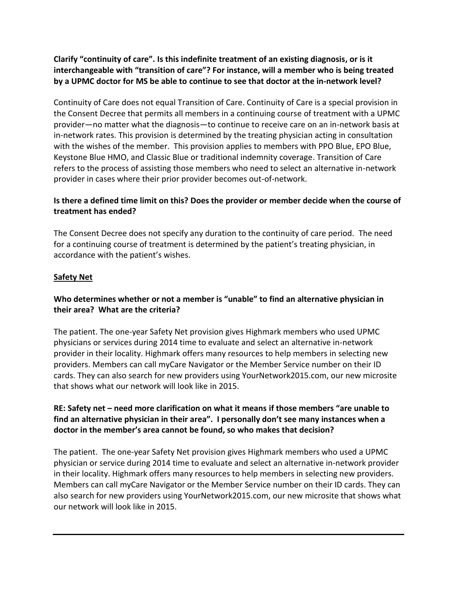# **Clarify "continuity of care". Is this indefinite treatment of an existing diagnosis, or is it interchangeable with "transition of care"? For instance, will a member who is being treated by a UPMC doctor for MS be able to continue to see that doctor at the in-network level?**

Continuity of Care does not equal Transition of Care. Continuity of Care is a special provision in the Consent Decree that permits all members in a continuing course of treatment with a UPMC provider—no matter what the diagnosis—to continue to receive care on an in-network basis at in-network rates. This provision is determined by the treating physician acting in consultation with the wishes of the member. This provision applies to members with PPO Blue, EPO Blue, Keystone Blue HMO, and Classic Blue or traditional indemnity coverage. Transition of Care refers to the process of assisting those members who need to select an alternative in-network provider in cases where their prior provider becomes out-of-network.

# **Is there a defined time limit on this? Does the provider or member decide when the course of treatment has ended?**

The Consent Decree does not specify any duration to the continuity of care period. The need for a continuing course of treatment is determined by the patient's treating physician, in accordance with the patient's wishes.

# **Safety Net**

# **Who determines whether or not a member is "unable" to find an alternative physician in their area? What are the criteria?**

The patient. The one-year Safety Net provision gives Highmark members who used UPMC physicians or services during 2014 time to evaluate and select an alternative in-network provider in their locality. Highmark offers many resources to help members in selecting new providers. Members can call myCare Navigator or the Member Service number on their ID cards. They can also search for new providers using YourNetwork2015.com, our new microsite that shows what our network will look like in 2015.

# **RE: Safety net – need more clarification on what it means if those members "are unable to find an alternative physician in their area". I personally don't see many instances when a doctor in the member's area cannot be found, so who makes that decision?**

The patient. The one-year Safety Net provision gives Highmark members who used a UPMC physician or service during 2014 time to evaluate and select an alternative in-network provider in their locality. Highmark offers many resources to help members in selecting new providers. Members can call myCare Navigator or the Member Service number on their ID cards. They can also search for new providers using YourNetwork2015.com, our new microsite that shows what our network will look like in 2015.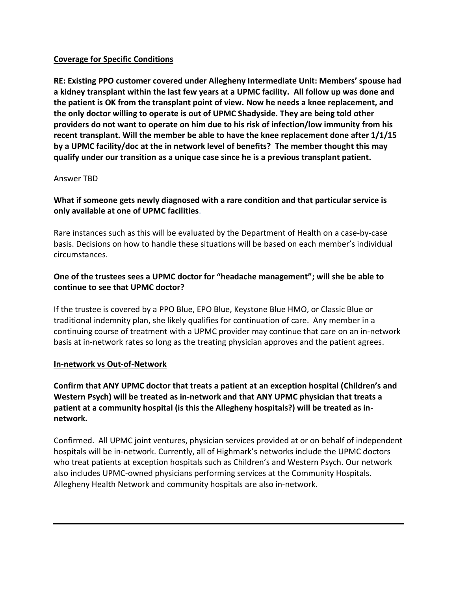#### **Coverage for Specific Conditions**

**RE: Existing PPO customer covered under Allegheny Intermediate Unit: Members' spouse had a kidney transplant within the last few years at a UPMC facility. All follow up was done and the patient is OK from the transplant point of view. Now he needs a knee replacement, and the only doctor willing to operate is out of UPMC Shadyside. They are being told other providers do not want to operate on him due to his risk of infection/low immunity from his recent transplant. Will the member be able to have the knee replacement done after 1/1/15 by a UPMC facility/doc at the in network level of benefits? The member thought this may qualify under our transition as a unique case since he is a previous transplant patient.**

#### Answer TBD

## **What if someone gets newly diagnosed with a rare condition and that particular service is only available at one of UPMC facilities**.

Rare instances such as this will be evaluated by the Department of Health on a case-by-case basis. Decisions on how to handle these situations will be based on each member's individual circumstances.

# **One of the trustees sees a UPMC doctor for "headache management"; will she be able to continue to see that UPMC doctor?**

If the trustee is covered by a PPO Blue, EPO Blue, Keystone Blue HMO, or Classic Blue or traditional indemnity plan, she likely qualifies for continuation of care. Any member in a continuing course of treatment with a UPMC provider may continue that care on an in-network basis at in-network rates so long as the treating physician approves and the patient agrees.

#### **In-network vs Out-of-Network**

**Confirm that ANY UPMC doctor that treats a patient at an exception hospital (Children's and Western Psych) will be treated as in-network and that ANY UPMC physician that treats a patient at a community hospital (is this the Allegheny hospitals?) will be treated as innetwork.**

Confirmed. All UPMC joint ventures, physician services provided at or on behalf of independent hospitals will be in-network. Currently, all of Highmark's networks include the UPMC doctors who treat patients at exception hospitals such as Children's and Western Psych. Our network also includes UPMC-owned physicians performing services at the Community Hospitals. Allegheny Health Network and community hospitals are also in-network.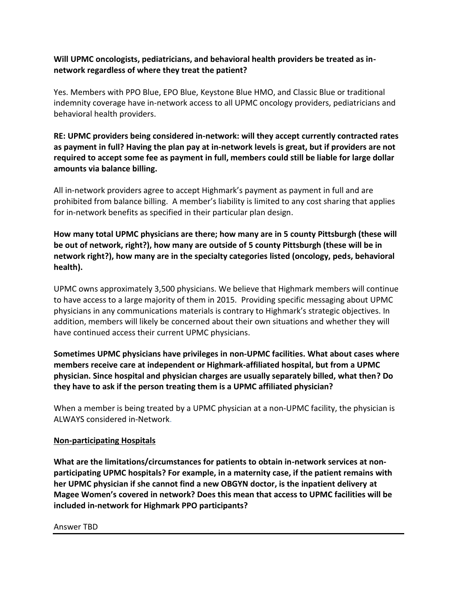## **Will UPMC oncologists, pediatricians, and behavioral health providers be treated as innetwork regardless of where they treat the patient?**

Yes. Members with PPO Blue, EPO Blue, Keystone Blue HMO, and Classic Blue or traditional indemnity coverage have in-network access to all UPMC oncology providers, pediatricians and behavioral health providers.

# **RE: UPMC providers being considered in-network: will they accept currently contracted rates as payment in full? Having the plan pay at in-network levels is great, but if providers are not required to accept some fee as payment in full, members could still be liable for large dollar amounts via balance billing.**

All in-network providers agree to accept Highmark's payment as payment in full and are prohibited from balance billing. A member's liability is limited to any cost sharing that applies for in-network benefits as specified in their particular plan design.

**How many total UPMC physicians are there; how many are in 5 county Pittsburgh (these will be out of network, right?), how many are outside of 5 county Pittsburgh (these will be in network right?), how many are in the specialty categories listed (oncology, peds, behavioral health).**

UPMC owns approximately 3,500 physicians. We believe that Highmark members will continue to have access to a large majority of them in 2015. Providing specific messaging about UPMC physicians in any communications materials is contrary to Highmark's strategic objectives. In addition, members will likely be concerned about their own situations and whether they will have continued access their current UPMC physicians.

**Sometimes UPMC physicians have privileges in non-UPMC facilities. What about cases where members receive care at independent or Highmark-affiliated hospital, but from a UPMC physician. Since hospital and physician charges are usually separately billed, what then? Do they have to ask if the person treating them is a UPMC affiliated physician?**

When a member is being treated by a UPMC physician at a non-UPMC facility, the physician is ALWAYS considered in-Network.

## **Non-participating Hospitals**

**What are the limitations/circumstances for patients to obtain in-network services at nonparticipating UPMC hospitals? For example, in a maternity case, if the patient remains with her UPMC physician if she cannot find a new OBGYN doctor, is the inpatient delivery at Magee Women's covered in network? Does this mean that access to UPMC facilities will be included in-network for Highmark PPO participants?**

Answer TBD